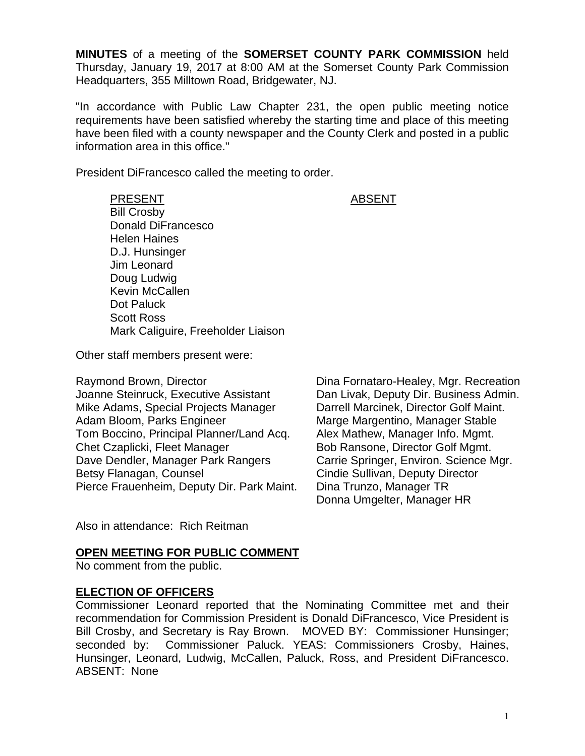**MINUTES** of a meeting of the **SOMERSET COUNTY PARK COMMISSION** held Thursday, January 19, 2017 at 8:00 AM at the Somerset County Park Commission Headquarters, 355 Milltown Road, Bridgewater, NJ.

"In accordance with Public Law Chapter 231, the open public meeting notice requirements have been satisfied whereby the starting time and place of this meeting have been filed with a county newspaper and the County Clerk and posted in a public information area in this office."

President DiFrancesco called the meeting to order.

#### PRESENT ABSENT

 Bill Crosby Donald DiFrancesco Helen Haines D.J. Hunsinger Jim Leonard Doug Ludwig Kevin McCallen Dot Paluck Scott Ross Mark Caliguire, Freeholder Liaison

Other staff members present were:

Raymond Brown, Director Dina Fornataro-Healey, Mgr. Recreation Joanne Steinruck, Executive Assistant Dan Livak, Deputy Dir. Business Admin. Mike Adams, Special Projects Manager Darrell Marcinek, Director Golf Maint. Adam Bloom, Parks Engineer Marge Margentino, Manager Stable Tom Boccino, Principal Planner/Land Acq. Alex Mathew, Manager Info. Mgmt. Chet Czaplicki, Fleet Manager Bob Ransone, Director Golf Mgmt. Dave Dendler, Manager Park Rangers Carrie Springer, Environ. Science Mgr. Betsy Flanagan, Counsel Contraction Cindie Sullivan, Deputy Director Pierce Frauenheim, Deputy Dir. Park Maint. Dina Trunzo, Manager TR

Donna Umgelter, Manager HR

Also in attendance: Rich Reitman

## **OPEN MEETING FOR PUBLIC COMMENT**

No comment from the public.

# **ELECTION OF OFFICERS**

Commissioner Leonard reported that the Nominating Committee met and their recommendation for Commission President is Donald DiFrancesco, Vice President is Bill Crosby, and Secretary is Ray Brown. MOVED BY: Commissioner Hunsinger; seconded by: Commissioner Paluck. YEAS: Commissioners Crosby, Haines, Hunsinger, Leonard, Ludwig, McCallen, Paluck, Ross, and President DiFrancesco. ABSENT: None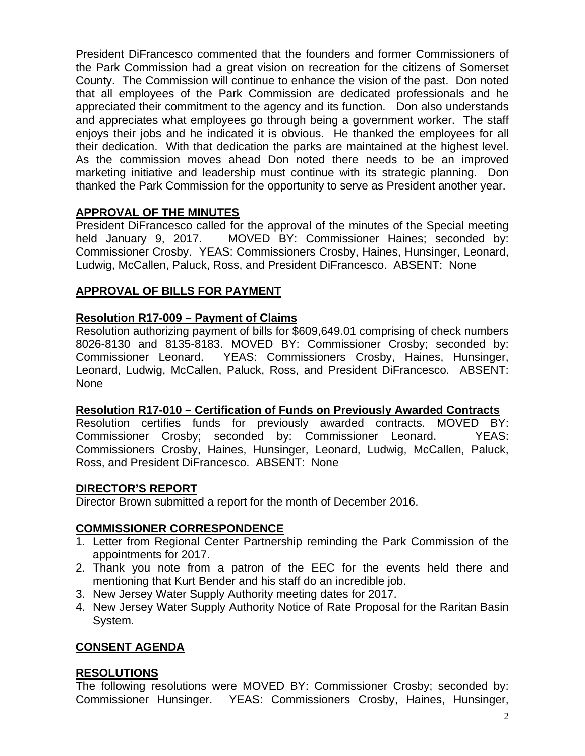President DiFrancesco commented that the founders and former Commissioners of the Park Commission had a great vision on recreation for the citizens of Somerset County. The Commission will continue to enhance the vision of the past. Don noted that all employees of the Park Commission are dedicated professionals and he appreciated their commitment to the agency and its function. Don also understands and appreciates what employees go through being a government worker. The staff enjoys their jobs and he indicated it is obvious. He thanked the employees for all their dedication. With that dedication the parks are maintained at the highest level. As the commission moves ahead Don noted there needs to be an improved marketing initiative and leadership must continue with its strategic planning. Don thanked the Park Commission for the opportunity to serve as President another year.

# **APPROVAL OF THE MINUTES**

President DiFrancesco called for the approval of the minutes of the Special meeting held January 9, 2017. MOVED BY: Commissioner Haines; seconded by: Commissioner Crosby. YEAS: Commissioners Crosby, Haines, Hunsinger, Leonard, Ludwig, McCallen, Paluck, Ross, and President DiFrancesco. ABSENT: None

# **APPROVAL OF BILLS FOR PAYMENT**

## **Resolution R17-009 – Payment of Claims**

Resolution authorizing payment of bills for \$609,649.01 comprising of check numbers 8026-8130 and 8135-8183. MOVED BY: Commissioner Crosby; seconded by: Commissioner Leonard. YEAS: Commissioners Crosby, Haines, Hunsinger, Leonard, Ludwig, McCallen, Paluck, Ross, and President DiFrancesco. ABSENT: None

## **Resolution R17-010 – Certification of Funds on Previously Awarded Contracts**

Resolution certifies funds for previously awarded contracts. MOVED BY: Commissioner Crosby; seconded by: Commissioner Leonard. YEAS: Commissioners Crosby, Haines, Hunsinger, Leonard, Ludwig, McCallen, Paluck, Ross, and President DiFrancesco. ABSENT: None

## **DIRECTOR'S REPORT**

Director Brown submitted a report for the month of December 2016.

## **COMMISSIONER CORRESPONDENCE**

- 1. Letter from Regional Center Partnership reminding the Park Commission of the appointments for 2017.
- 2. Thank you note from a patron of the EEC for the events held there and mentioning that Kurt Bender and his staff do an incredible job.
- 3. New Jersey Water Supply Authority meeting dates for 2017.
- 4. New Jersey Water Supply Authority Notice of Rate Proposal for the Raritan Basin System.

## **CONSENT AGENDA**

## **RESOLUTIONS**

The following resolutions were MOVED BY: Commissioner Crosby; seconded by: Commissioner Hunsinger. YEAS: Commissioners Crosby, Haines, Hunsinger,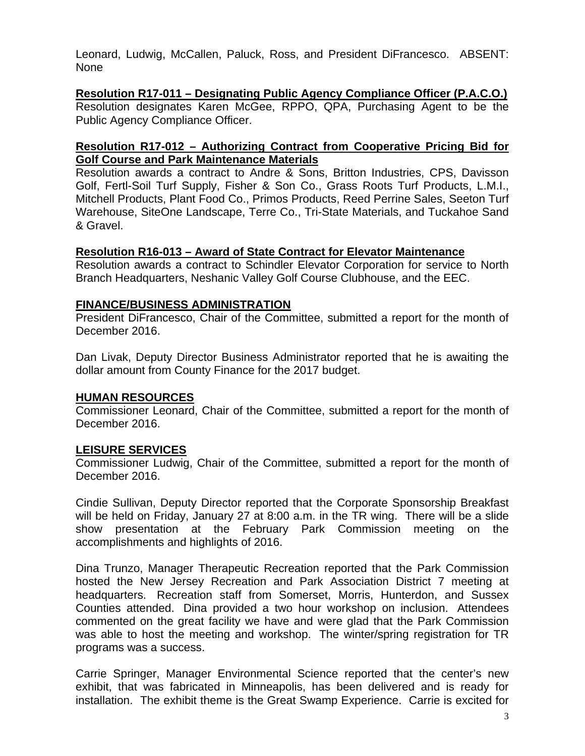Leonard, Ludwig, McCallen, Paluck, Ross, and President DiFrancesco. ABSENT: None

# **Resolution R17-011 – Designating Public Agency Compliance Officer (P.A.C.O.)**

Resolution designates Karen McGee, RPPO, QPA, Purchasing Agent to be the Public Agency Compliance Officer.

## **Resolution R17-012 – Authorizing Contract from Cooperative Pricing Bid for Golf Course and Park Maintenance Materials**

Resolution awards a contract to Andre & Sons, Britton Industries, CPS, Davisson Golf, Fertl-Soil Turf Supply, Fisher & Son Co., Grass Roots Turf Products, L.M.I., Mitchell Products, Plant Food Co., Primos Products, Reed Perrine Sales, Seeton Turf Warehouse, SiteOne Landscape, Terre Co., Tri-State Materials, and Tuckahoe Sand & Gravel.

## **Resolution R16-013 – Award of State Contract for Elevator Maintenance**

Resolution awards a contract to Schindler Elevator Corporation for service to North Branch Headquarters, Neshanic Valley Golf Course Clubhouse, and the EEC.

# **FINANCE/BUSINESS ADMINISTRATION**

President DiFrancesco, Chair of the Committee, submitted a report for the month of December 2016.

Dan Livak, Deputy Director Business Administrator reported that he is awaiting the dollar amount from County Finance for the 2017 budget.

# **HUMAN RESOURCES**

Commissioner Leonard, Chair of the Committee, submitted a report for the month of December 2016.

## **LEISURE SERVICES**

Commissioner Ludwig, Chair of the Committee, submitted a report for the month of December 2016.

Cindie Sullivan, Deputy Director reported that the Corporate Sponsorship Breakfast will be held on Friday, January 27 at 8:00 a.m. in the TR wing. There will be a slide show presentation at the February Park Commission meeting on the accomplishments and highlights of 2016.

Dina Trunzo, Manager Therapeutic Recreation reported that the Park Commission hosted the New Jersey Recreation and Park Association District 7 meeting at headquarters. Recreation staff from Somerset, Morris, Hunterdon, and Sussex Counties attended. Dina provided a two hour workshop on inclusion. Attendees commented on the great facility we have and were glad that the Park Commission was able to host the meeting and workshop. The winter/spring registration for TR programs was a success.

Carrie Springer, Manager Environmental Science reported that the center's new exhibit, that was fabricated in Minneapolis, has been delivered and is ready for installation. The exhibit theme is the Great Swamp Experience. Carrie is excited for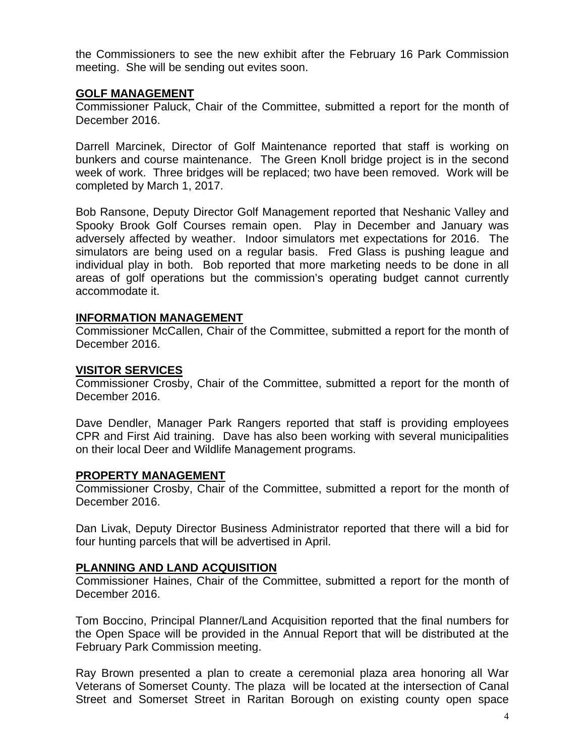the Commissioners to see the new exhibit after the February 16 Park Commission meeting. She will be sending out evites soon.

## **GOLF MANAGEMENT**

Commissioner Paluck, Chair of the Committee, submitted a report for the month of December 2016.

Darrell Marcinek, Director of Golf Maintenance reported that staff is working on bunkers and course maintenance. The Green Knoll bridge project is in the second week of work. Three bridges will be replaced; two have been removed. Work will be completed by March 1, 2017.

Bob Ransone, Deputy Director Golf Management reported that Neshanic Valley and Spooky Brook Golf Courses remain open. Play in December and January was adversely affected by weather. Indoor simulators met expectations for 2016. The simulators are being used on a regular basis. Fred Glass is pushing league and individual play in both. Bob reported that more marketing needs to be done in all areas of golf operations but the commission's operating budget cannot currently accommodate it.

## **INFORMATION MANAGEMENT**

Commissioner McCallen, Chair of the Committee, submitted a report for the month of December 2016.

#### **VISITOR SERVICES**

Commissioner Crosby, Chair of the Committee, submitted a report for the month of December 2016.

Dave Dendler, Manager Park Rangers reported that staff is providing employees CPR and First Aid training. Dave has also been working with several municipalities on their local Deer and Wildlife Management programs.

#### **PROPERTY MANAGEMENT**

Commissioner Crosby, Chair of the Committee, submitted a report for the month of December 2016.

Dan Livak, Deputy Director Business Administrator reported that there will a bid for four hunting parcels that will be advertised in April.

## **PLANNING AND LAND ACQUISITION**

Commissioner Haines, Chair of the Committee, submitted a report for the month of December 2016.

Tom Boccino, Principal Planner/Land Acquisition reported that the final numbers for the Open Space will be provided in the Annual Report that will be distributed at the February Park Commission meeting.

Ray Brown presented a plan to create a ceremonial plaza area honoring all War Veterans of Somerset County. The plaza will be located at the intersection of Canal Street and Somerset Street in Raritan Borough on existing county open space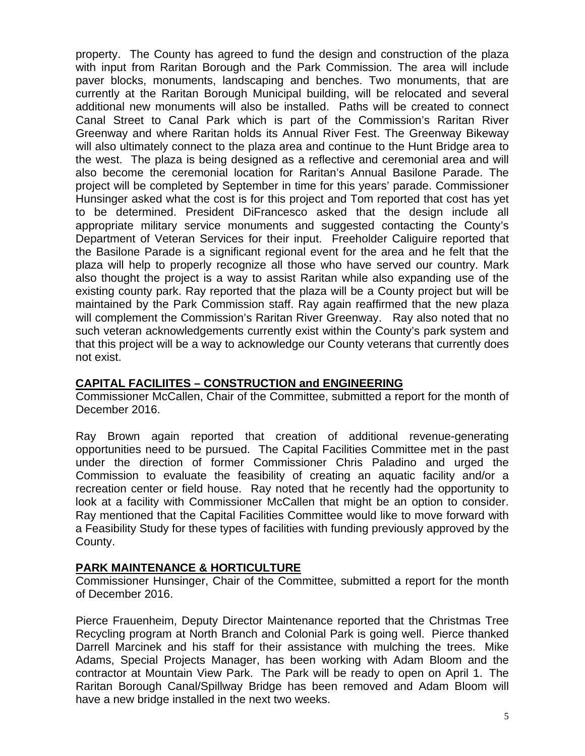property. The County has agreed to fund the design and construction of the plaza with input from Raritan Borough and the Park Commission. The area will include paver blocks, monuments, landscaping and benches. Two monuments, that are currently at the Raritan Borough Municipal building, will be relocated and several additional new monuments will also be installed. Paths will be created to connect Canal Street to Canal Park which is part of the Commission's Raritan River Greenway and where Raritan holds its Annual River Fest. The Greenway Bikeway will also ultimately connect to the plaza area and continue to the Hunt Bridge area to the west. The plaza is being designed as a reflective and ceremonial area and will also become the ceremonial location for Raritan's Annual Basilone Parade. The project will be completed by September in time for this years' parade. Commissioner Hunsinger asked what the cost is for this project and Tom reported that cost has yet to be determined. President DiFrancesco asked that the design include all appropriate military service monuments and suggested contacting the County's Department of Veteran Services for their input. Freeholder Caliguire reported that the Basilone Parade is a significant regional event for the area and he felt that the plaza will help to properly recognize all those who have served our country. Mark also thought the project is a way to assist Raritan while also expanding use of the existing county park. Ray reported that the plaza will be a County project but will be maintained by the Park Commission staff. Ray again reaffirmed that the new plaza will complement the Commission's Raritan River Greenway. Ray also noted that no such veteran acknowledgements currently exist within the County's park system and that this project will be a way to acknowledge our County veterans that currently does not exist.

## **CAPITAL FACILIITES – CONSTRUCTION and ENGINEERING**

Commissioner McCallen, Chair of the Committee, submitted a report for the month of December 2016.

Ray Brown again reported that creation of additional revenue-generating opportunities need to be pursued. The Capital Facilities Committee met in the past under the direction of former Commissioner Chris Paladino and urged the Commission to evaluate the feasibility of creating an aquatic facility and/or a recreation center or field house. Ray noted that he recently had the opportunity to look at a facility with Commissioner McCallen that might be an option to consider. Ray mentioned that the Capital Facilities Committee would like to move forward with a Feasibility Study for these types of facilities with funding previously approved by the County.

#### **PARK MAINTENANCE & HORTICULTURE**

Commissioner Hunsinger, Chair of the Committee, submitted a report for the month of December 2016.

Pierce Frauenheim, Deputy Director Maintenance reported that the Christmas Tree Recycling program at North Branch and Colonial Park is going well. Pierce thanked Darrell Marcinek and his staff for their assistance with mulching the trees. Mike Adams, Special Projects Manager, has been working with Adam Bloom and the contractor at Mountain View Park. The Park will be ready to open on April 1. The Raritan Borough Canal/Spillway Bridge has been removed and Adam Bloom will have a new bridge installed in the next two weeks.